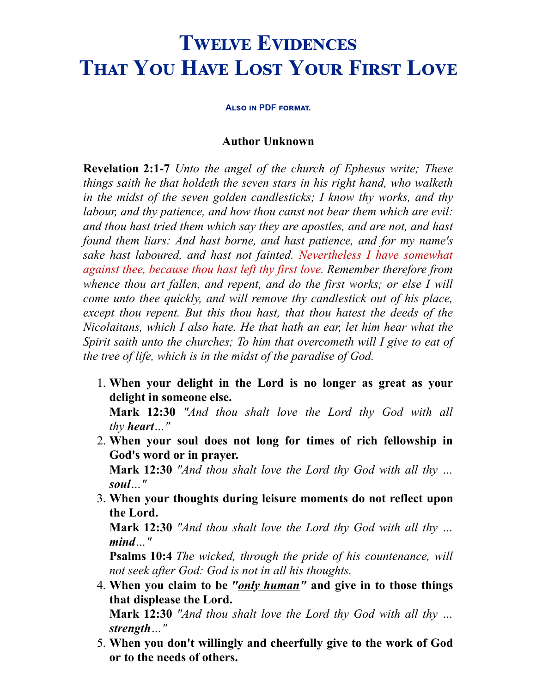## **TWELVE EVIDENCES THAT YOU HAVE LOST YOUR FIRST LOVE**

**ALSO IN [PDF](http://opbm.org/twelve-evidences.pdf) FORMAT.** 

## **Author Unknown**

**Revelation 2:1-7** *Unto the angel of the church of Ephesus write; These things saith he that holdeth the seven stars in his right hand, who walketh in the midst of the seven golden candlesticks; I know thy works, and thy labour, and thy patience, and how thou canst not bear them which are evil: and thou hast tried them which say they are apostles, and are not, and hast found them liars: And hast borne, and hast patience, and for my name's sake hast laboured, and hast not fainted. Nevertheless I have somewhat against thee, because thou hast left thy first love. Remember therefore from whence thou art fallen, and repent, and do the first works; or else I will come unto thee quickly, and will remove thy candlestick out of his place, except thou repent. But this thou hast, that thou hatest the deeds of the Nicolaitans, which I also hate. He that hath an ear, let him hear what the Spirit saith unto the churches; To him that overcometh will I give to eat of the tree of life, which is in the midst of the paradise of God.*

1. **When your delight in the Lord is no longer as great as your delight in someone else.**

**Mark 12:30** *"And thou shalt love the Lord thy God with all thy heart…"*

2. **When your soul does not long for times of rich fellowship in God's word or in prayer.**

**Mark 12:30** *"And thou shalt love the Lord thy God with all thy … soul…"*

3. **When your thoughts during leisure moments do not reflect upon the Lord.**

**Mark 12:30** *"And thou shalt love the Lord thy God with all thy … mind…"*

**Psalms 10:4** *The wicked, through the pride of his countenance, will not seek after God: God is not in all his thoughts.*

- 4. **When you claim to be** *"only human"* **and give in to those things that displease the Lord. Mark 12:30** *"And thou shalt love the Lord thy God with all thy … strength…"*
- 5. **When you don't willingly and cheerfully give to the work of God or to the needs of others.**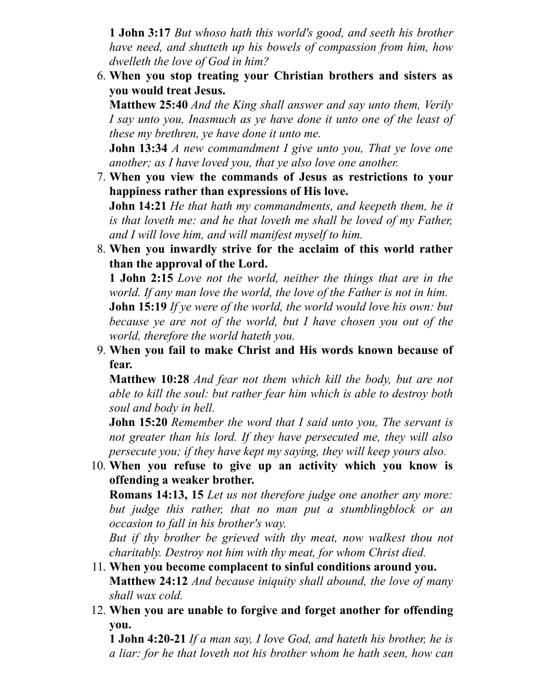**1 John 3:17** *But whoso hath this world's good, and seeth his brother have need, and shutteth up his bowels of compassion from him, how dwelleth the love of God in him?*

6. **When you stop treating your Christian brothers and sisters as you would treat Jesus.**

**Matthew 25:40** *And the King shall answer and say unto them, Verily I say unto you, Inasmuch as ye have done it unto one of the least of these my brethren, ye have done it unto me.*

**John 13:34** *A new commandment I give unto you, That ye love one another; as I have loved you, that ye also love one another.*

7. **When you view the commands of Jesus as restrictions to your happiness rather than expressions of His love.**

**John 14:21** *He that hath my commandments, and keepeth them, he it is that loveth me: and he that loveth me shall be loved of my Father, and I will love him, and will manifest myself to him.*

8. **When you inwardly strive for the acclaim of this world rather than the approval of the Lord.**

**1 John 2:15** *Love not the world, neither the things that are in the world. If any man love the world, the love of the Father is not in him.* **John 15:19** *If ye were of the world, the world would love his own: but because ye are not of the world, but I have chosen you out of the world, therefore the world hateth you.*

9. **When you fail to make Christ and His words known because of fear.**

**Matthew 10:28** *And fear not them which kill the body, but are not able to kill the soul: but rather fear him which is able to destroy both soul and body in hell.*

**John 15:20** *Remember the word that I said unto you, The servant is not greater than his lord. If they have persecuted me, they will also persecute you; if they have kept my saying, they will keep yours also.*

10. **When you refuse to give up an activity which you know is offending a weaker brother.**

**Romans 14:13, 15** *Let us not therefore judge one another any more: but judge this rather, that no man put a stumblingblock or an occasion to fall in his brother's way.*

*But if thy brother be grieved with thy meat, now walkest thou not charitably. Destroy not him with thy meat, for whom Christ died.*

- 11. **When you become complacent to sinful conditions around you. Matthew 24:12** *And because iniquity shall abound, the love of many shall wax cold.*
- 12. **When you are unable to forgive and forget another for offending you.**

**1 John 4:20-21** *If a man say, I love God, and hateth his brother, he is a liar: for he that loveth not his brother whom he hath seen, how can*